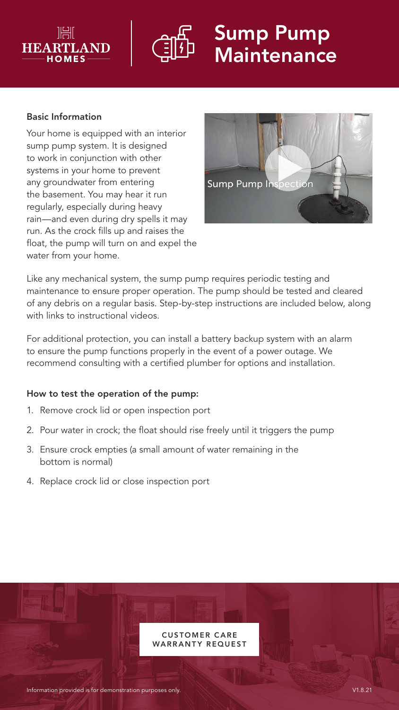



# Sump Pump **Maintenance**

#### Basic Information

Your home is equipped with an interior sump pump system. It is designed to work in conjunction with other systems in your home to prevent any groundwater from entering the basement. You may hear it run regularly, especially during heavy rain—and even during dry spells it may run. As the crock fills up and raises the float, the pump will turn on and expel the water from your home.



Like any mechanical system, the sump pump requires periodic testing and maintenance to ensure proper operation. The pump should be tested and cleared of any debris on a regular basis. Step-by-step instructions are included below, along with links to instructional videos.

For additional protection, you can install a battery backup system with an alarm to ensure the pump functions properly in the event of a power outage. We recommend consulting with a certified plumber for options and installation.

#### How to test the operation of the pump:

- 1. Remove crock lid or open inspection port
- 2. Pour water in crock; the float should rise freely until it triggers the pump
- 3. Ensure crock empties (a small amount of water remaining in the bottom is normal)
- 4. Replace crock lid or close inspection port

**CUSTOMER CARE** WARRANTY REQUEST